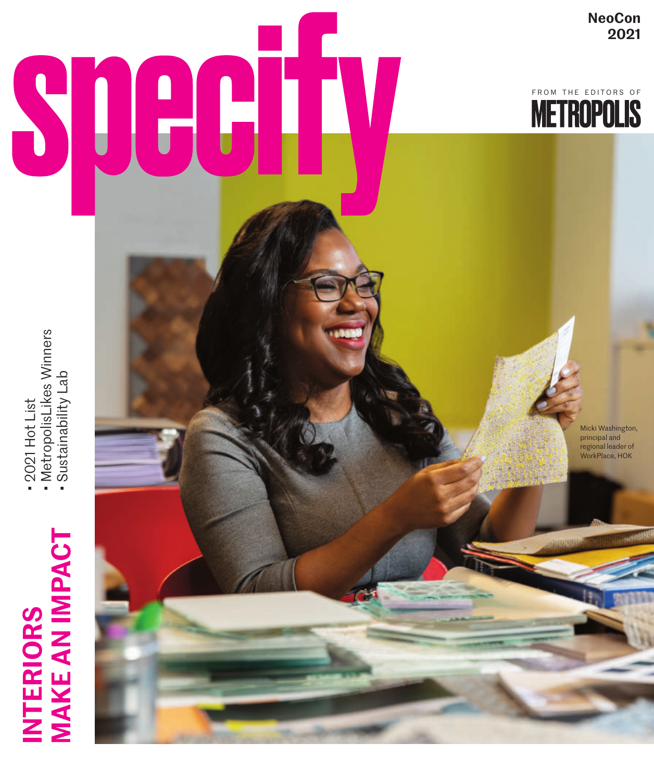## INTERIORS<br>MAKE AN IMPACT **MAKE AN IMPACT INTERIORS**

- 2021 Hot List<br>• MetropolisLikes Winners<br>• Sustainability Lab • 2021 Hot List
	- MetropolisLikes Winners • Sustainability Lab



**NeoCon 2021**

FROM THE EDITORS OF

Micki Washington, principal and regional leader of WorkPlace, HOK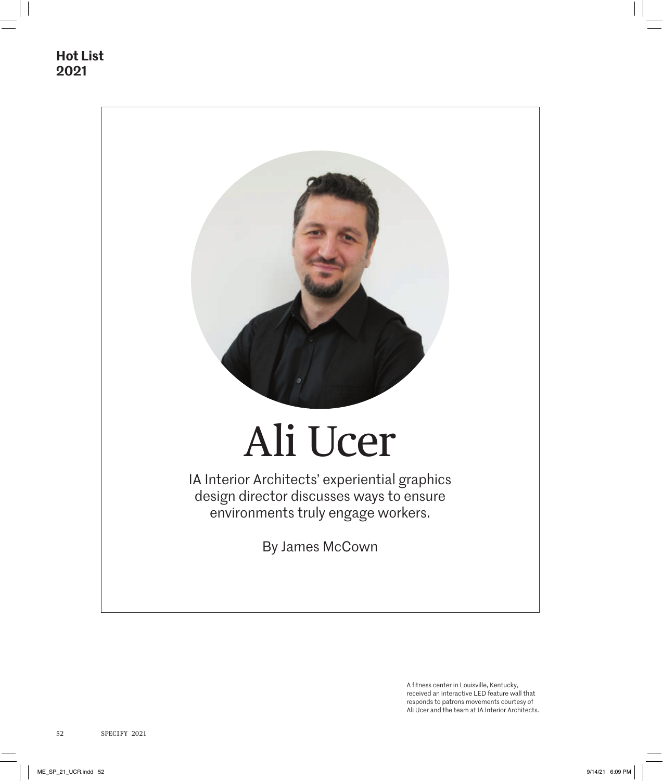

A fitness center in Louisville, Kentucky, received an interactive LED feature wall that responds to patrons movements courtesy of Ali Ucer and the team at IA Interior Architects.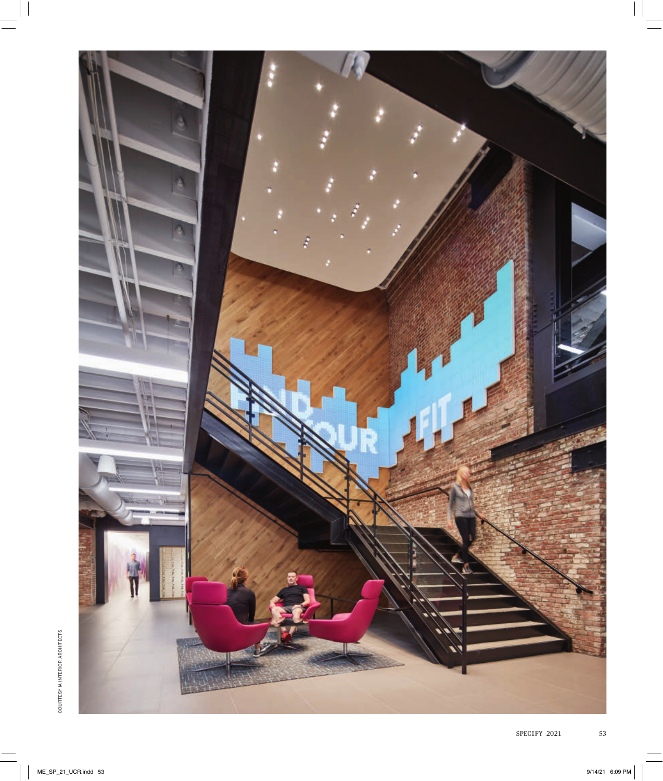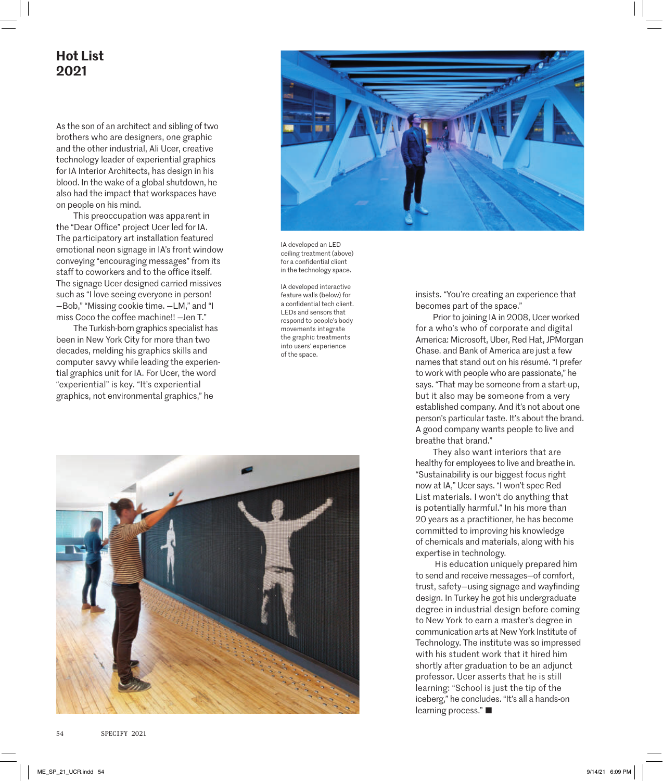## **Hot List 2021**

As the son of an architect and sibling of two brothers who are designers, one graphic and the other industrial, Ali Ucer, creative technology leader of experiential graphics for IA Interior Architects, has design in his blood. In the wake of a global shutdown, he also had the impact that workspaces have on people on his mind.

This preoccupation was apparent in the "Dear Office" project Ucer led for IA. The participatory art installation featured emotional neon signage in IA's front window conveying "encouraging messages" from its staff to coworkers and to the office itself. The signage Ucer designed carried missives such as "I love seeing everyone in person! —Bob," "Missing cookie time. —LM," and "I miss Coco the coffee machine!! —Jen T."

The Turkish-born graphics specialist has been in New York City for more than two decades, melding his graphics skills and computer savvy while leading the experiential graphics unit for IA. For Ucer, the word "experiential" is key. "It's experiential graphics, not environmental graphics," he



IA developed an LED ceiling treatment (above) for a confidential client in the technology space.

IA developed interactive feature walls (below) for a confidential tech client. LEDs and sensors that respond to people's body movements integrate the graphic treatments into users' experience of the space.



insists. "You're creating an experience that becomes part of the space."

Prior to joining IA in 2008, Ucer worked for a who's who of corporate and digital America: Microsoft, Uber, Red Hat, JPMorgan Chase. and Bank of America are just a few names that stand out on his résumé. "I prefer to work with people who are passionate," he says. "That may be someone from a start-up, but it also may be someone from a very established company. And it's not about one person's particular taste. It's about the brand. A good company wants people to live and breathe that brand."

They also want interiors that are healthy for employees to live and breathe in. "Sustainability is our biggest focus right now at IA," Ucer says. "I won't spec Red List materials. I won't do anything that is potentially harmful." In his more than 20 years as a practitioner, he has become committed to improving his knowledge of chemicals and materials, along with his expertise in technology.

 His education uniquely prepared him to send and receive messages—of comfort, trust, safety—using signage and wayfinding design. In Turkey he got his undergraduate degree in industrial design before coming to New York to earn a master's degree in communication arts at New York Institute of Technology. The institute was so impressed with his student work that it hired him shortly after graduation to be an adjunct professor. Ucer asserts that he is still learning: "School is just the tip of the iceberg," he concludes. "It's all a hands-on learning process." ■